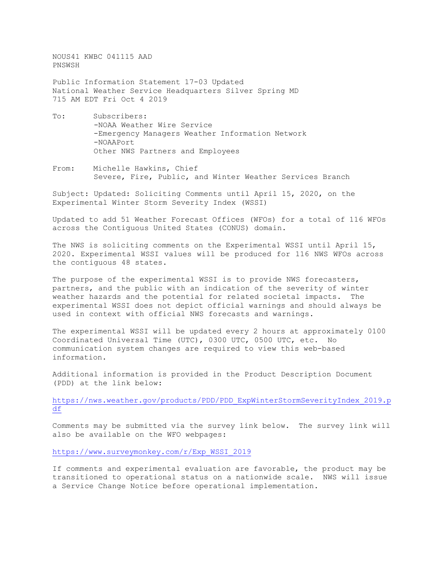NOUS41 KWBC 041115 AAD PNSWSH

Public Information Statement 17-03 Updated National Weather Service Headquarters Silver Spring MD 715 AM EDT Fri Oct 4 2019

- To: Subscribers: -NOAA Weather Wire Service -Emergency Managers Weather Information Network -NOAAPort Other NWS Partners and Employees
- From: Michelle Hawkins, Chief Severe, Fire, Public, and Winter Weather Services Branch

Subject: Updated: Soliciting Comments until April 15, 2020, on the Experimental Winter Storm Severity Index (WSSI)

Updated to add 51 Weather Forecast Offices (WFOs) for a total of 116 WFOs across the Contiguous United States (CONUS) domain.

The NWS is soliciting comments on the Experimental WSSI until April 15, 2020. Experimental WSSI values will be produced for 116 NWS WFOs across the contiguous 48 states.

The purpose of the experimental WSSI is to provide NWS forecasters, partners, and the public with an indication of the severity of winter weather hazards and the potential for related societal impacts. The experimental WSSI does not depict official warnings and should always be used in context with official NWS forecasts and warnings.

The experimental WSSI will be updated every 2 hours at approximately 0100 Coordinated Universal Time (UTC), 0300 UTC, 0500 UTC, etc. No communication system changes are required to view this web-based information.

Additional information is provided in the Product Description Document (PDD) at the link below:

[https://nws.weather.gov/products/PDD/PDD\\_ExpWinterStormSeverityIndex\\_2019.p](https://nws.weather.gov/products/PDD/PDD_ExpWinterStormSeverityIndex_2019.pdf) [df](https://nws.weather.gov/products/PDD/PDD_ExpWinterStormSeverityIndex_2019.pdf)

Comments may be submitted via the survey link below. The survey link will also be available on the WFO webpages:

[https://www.surveymonkey.com/r/Exp\\_WSSI\\_2019](https://www.surveymonkey.com/r/Exp_WSSI_2019)

If comments and experimental evaluation are favorable, the product may be transitioned to operational status on a nationwide scale. NWS will issue a Service Change Notice before operational implementation.